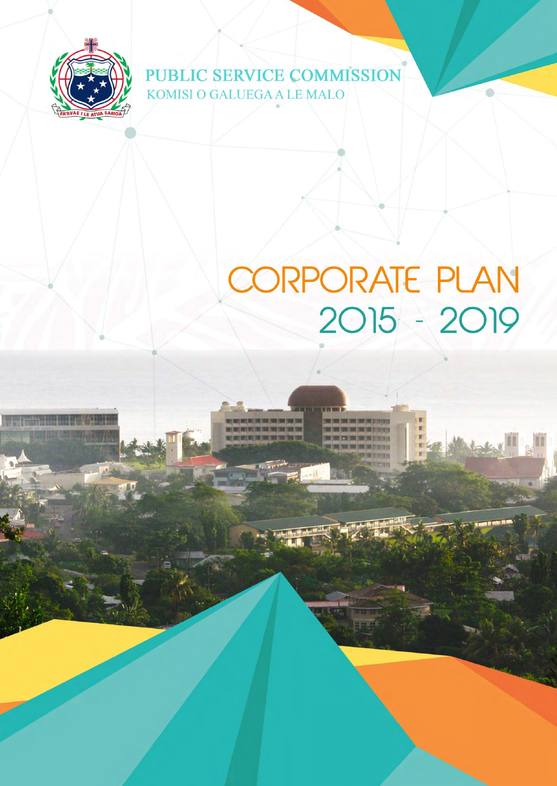

PUBLIC SERVICE COMMISSION KOMISI O GALUEGA A LE MALO

> on many stars that your paper your your your your **BEFORE FOR THEIR TOUR TOUR FORE TO**

# ORPORATE PLAN 2015 - 2019

<u>na yang pang pang pang pagpagan </u>

**NO THE THE THE THE PERSON MENTING** 

**TESTING** 

M,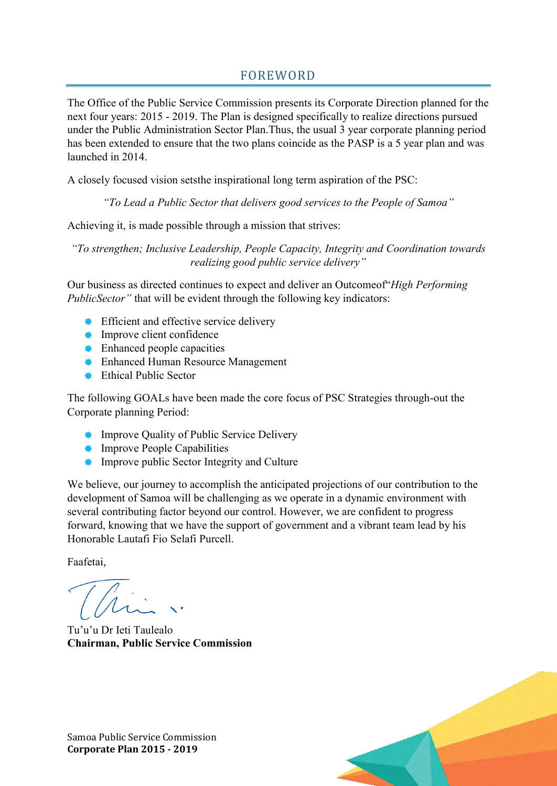### FOREWORD

The Office of the Public Service Commission presents its Corporate Direction planned for the next four years: 2015 - 2019. The Plan is designed specifically to realize directions pursued under the Public Administration Sector Plan.Thus, the usual 3 year corporate planning period has been extended to ensure that the two plans coincide as the PASP is a 5 year plan and was launched in 2014.

A closely focused vision setsthe inspirational long term aspiration of the PSC:

*"To Lead a Public Sector that delivers good services to the People of Samoa"* 

Achieving it, is made possible through a mission that strives:

*"To strengthen; Inclusive Leadership, People Capacity, Integrity and Coordination towards realizing good public service delivery"* 

Our business as directed continues to expect and deliver an Outcomeof"*High Performing PublicSector"* that will be evident through the following key indicators:

- **Efficient and effective service delivery**
- Improve client confidence
- $\bullet$  Enhanced people capacities
- **Enhanced Human Resource Management**
- $\bullet$  Ethical Public Sector

The following GOALs have been made the core focus of PSC Strategies through-out the Corporate planning Period:

- **Improve Quality of Public Service Delivery**
- Improve People Capabilities
- **Improve public Sector Integrity and Culture**

We believe, our journey to accomplish the anticipated projections of our contribution to the development of Samoa will be challenging as we operate in a dynamic environment with several contributing factor beyond our control. However, we are confident to progress forward, knowing that we have the support of government and a vibrant team lead by his Honorable Lautafi Fio Selafi Purcell.

Faafetai,

Tu'u'u Dr Ieti Taulealo **Chairman, Public Service Commission**

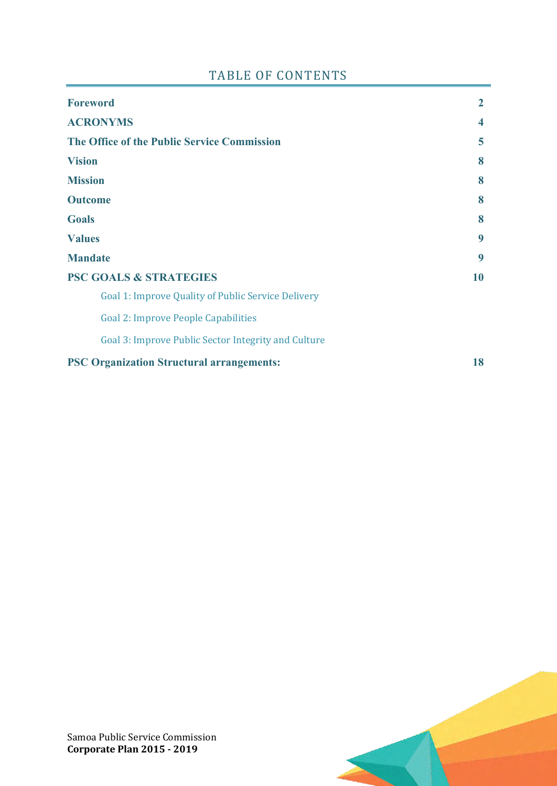# TABLE OF CONTENTS

| <b>Foreword</b>                                     | $\overline{2}$      |
|-----------------------------------------------------|---------------------|
| <b>ACRONYMS</b>                                     | $\overline{\bf{4}}$ |
| The Office of the Public Service Commission         | 5                   |
| <b>Vision</b>                                       | 8                   |
| <b>Mission</b>                                      | 8                   |
| <b>Outcome</b>                                      | 8                   |
| <b>Goals</b>                                        | 8                   |
| <b>Values</b>                                       | 9                   |
| <b>Mandate</b>                                      | 9                   |
| <b>PSC GOALS &amp; STRATEGIES</b>                   | <b>10</b>           |
| Goal 1: Improve Quality of Public Service Delivery  |                     |
| <b>Goal 2: Improve People Capabilities</b>          |                     |
| Goal 3: Improve Public Sector Integrity and Culture |                     |
| <b>PSC Organization Structural arrangements:</b>    | 18                  |

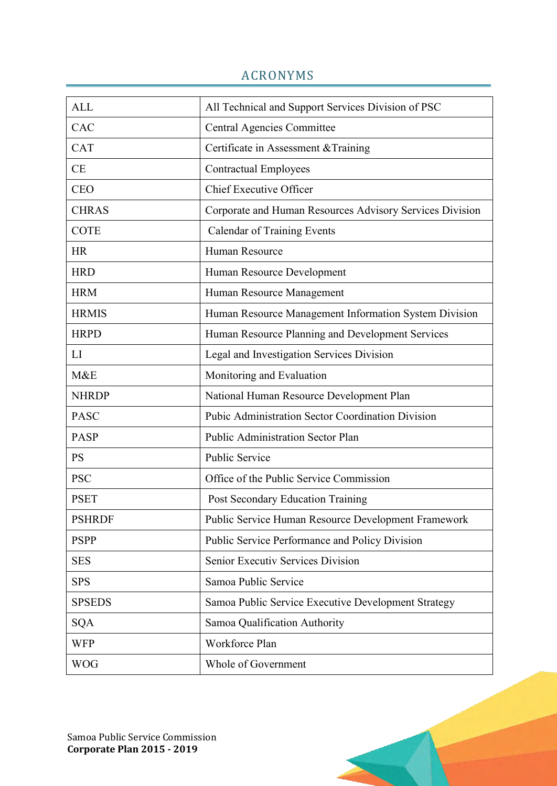## ACRONYMS

| <b>ALL</b>    | All Technical and Support Services Division of PSC       |
|---------------|----------------------------------------------------------|
| <b>CAC</b>    | <b>Central Agencies Committee</b>                        |
| <b>CAT</b>    | Certificate in Assessment & Training                     |
| <b>CE</b>     | <b>Contractual Employees</b>                             |
| <b>CEO</b>    | <b>Chief Executive Officer</b>                           |
| <b>CHRAS</b>  | Corporate and Human Resources Advisory Services Division |
| <b>COTE</b>   | <b>Calendar of Training Events</b>                       |
| <b>HR</b>     | Human Resource                                           |
| <b>HRD</b>    | Human Resource Development                               |
| <b>HRM</b>    | Human Resource Management                                |
| <b>HRMIS</b>  | Human Resource Management Information System Division    |
| <b>HRPD</b>   | Human Resource Planning and Development Services         |
| LI            | Legal and Investigation Services Division                |
| M&E           | Monitoring and Evaluation                                |
| <b>NHRDP</b>  | National Human Resource Development Plan                 |
| <b>PASC</b>   | <b>Pubic Administration Sector Coordination Division</b> |
| <b>PASP</b>   | <b>Public Administration Sector Plan</b>                 |
| <b>PS</b>     | <b>Public Service</b>                                    |
| <b>PSC</b>    | Office of the Public Service Commission                  |
| <b>PSET</b>   | Post Secondary Education Training                        |
| <b>PSHRDF</b> | Public Service Human Resource Development Framework      |
| <b>PSPP</b>   | Public Service Performance and Policy Division           |
| <b>SES</b>    | Senior Executiv Services Division                        |
| <b>SPS</b>    | Samoa Public Service                                     |
| <b>SPSEDS</b> | Samoa Public Service Executive Development Strategy      |
| <b>SQA</b>    | Samoa Qualification Authority                            |
| <b>WFP</b>    | Workforce Plan                                           |
| <b>WOG</b>    | Whole of Government                                      |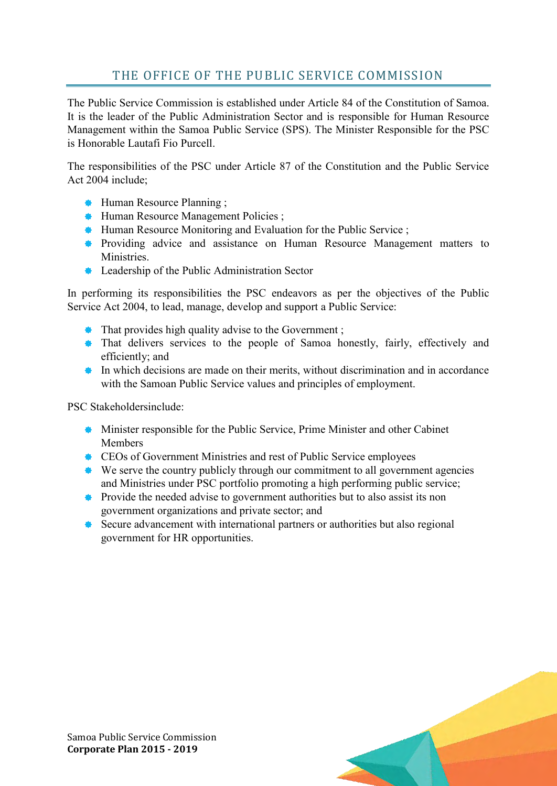# THE OFFICE OF THE PUBLIC SERVICE COMMISSION

The Public Service Commission is established under Article 84 of the Constitution of Samoa. It is the leader of the Public Administration Sector and is responsible for Human Resource Management within the Samoa Public Service (SPS). The Minister Responsible for the PSC is Honorable Lautafi Fio Purcell.

The responsibilities of the PSC under Article 87 of the Constitution and the Public Service Act 2004 include;

- $\bullet$  Human Resource Planning ;
- **Human Resource Management Policies**;
- ♦ Human Resource Monitoring and Evaluation for the Public Service ;
- Providing advice and assistance on Human Resource Management matters to Ministries.
- **◆** Leadership of the Public Administration Sector

In performing its responsibilities the PSC endeavors as per the objectives of the Public Service Act 2004, to lead, manage, develop and support a Public Service:

- $\bullet$  That provides high quality advise to the Government ;
- That delivers services to the people of Samoa honestly, fairly, effectively and efficiently; and
- In which decisions are made on their merits, without discrimination and in accordance with the Samoan Public Service values and principles of employment.

PSC Stakeholdersinclude:

- Minister responsible for the Public Service, Prime Minister and other Cabinet Members
- CEOs of Government Ministries and rest of Public Service employees
- We serve the country publicly through our commitment to all government agencies and Ministries under PSC portfolio promoting a high performing public service;
- Provide the needed advise to government authorities but to also assist its non government organizations and private sector; and
- Secure advancement with international partners or authorities but also regional government for HR opportunities.

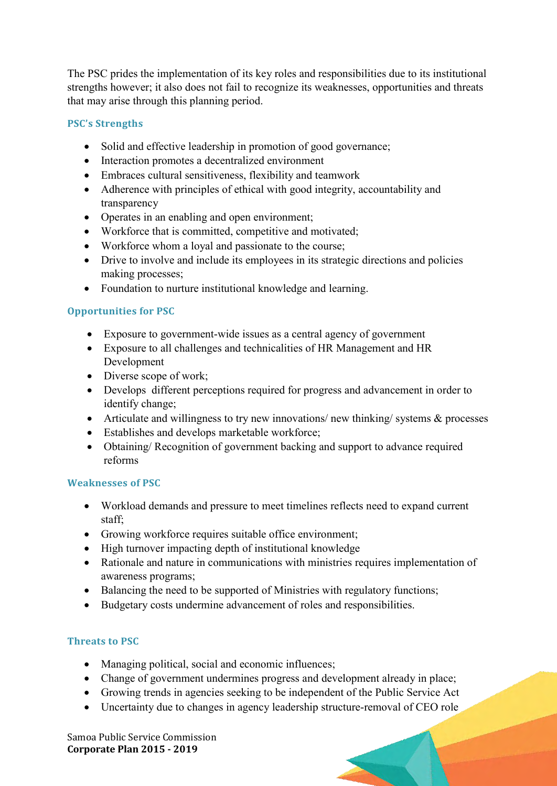The PSC prides the implementation of its key roles and responsibilities due to its institutional strengths however; it also does not fail to recognize its weaknesses, opportunities and threats that may arise through this planning period.

#### **PSC's Strengths**

- Solid and effective leadership in promotion of good governance;
- Interaction promotes a decentralized environment
- Embraces cultural sensitiveness, flexibility and teamwork
- Adherence with principles of ethical with good integrity, accountability and transparency
- Operates in an enabling and open environment;
- Workforce that is committed, competitive and motivated;
- Workforce whom a loyal and passionate to the course;
- Drive to involve and include its employees in its strategic directions and policies making processes;
- Foundation to nurture institutional knowledge and learning.

#### **Opportunities for PSC**

- Exposure to government-wide issues as a central agency of government
- Exposure to all challenges and technicalities of HR Management and HR Development
- Diverse scope of work;
- Develops different perceptions required for progress and advancement in order to identify change;
- Articulate and willingness to try new innovations/ new thinking/ systems & processes
- Establishes and develops marketable workforce;
- Obtaining/ Recognition of government backing and support to advance required reforms

#### **Weaknesses of PSC**

- Workload demands and pressure to meet timelines reflects need to expand current staff;
- Growing workforce requires suitable office environment;
- High turnover impacting depth of institutional knowledge
- Rationale and nature in communications with ministries requires implementation of awareness programs;
- Balancing the need to be supported of Ministries with regulatory functions;
- Budgetary costs undermine advancement of roles and responsibilities.

#### **Threats to PSC**

- Managing political, social and economic influences;
- Change of government undermines progress and development already in place;
- Growing trends in agencies seeking to be independent of the Public Service Act
- Uncertainty due to changes in agency leadership structure-removal of CEO role

Samoa Public Service Commission **Corporate Plan 2015 - 2019**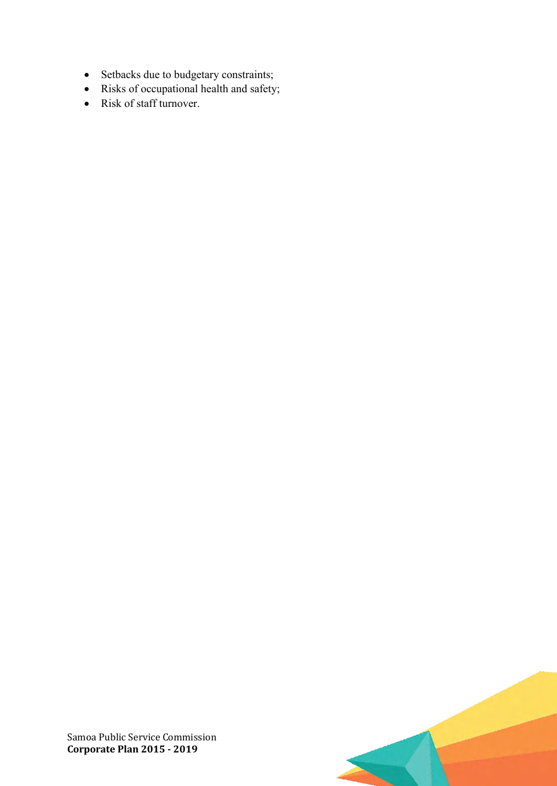- Setbacks due to budgetary constraints;
- Risks of occupational health and safety;
- Risk of staff turnover.

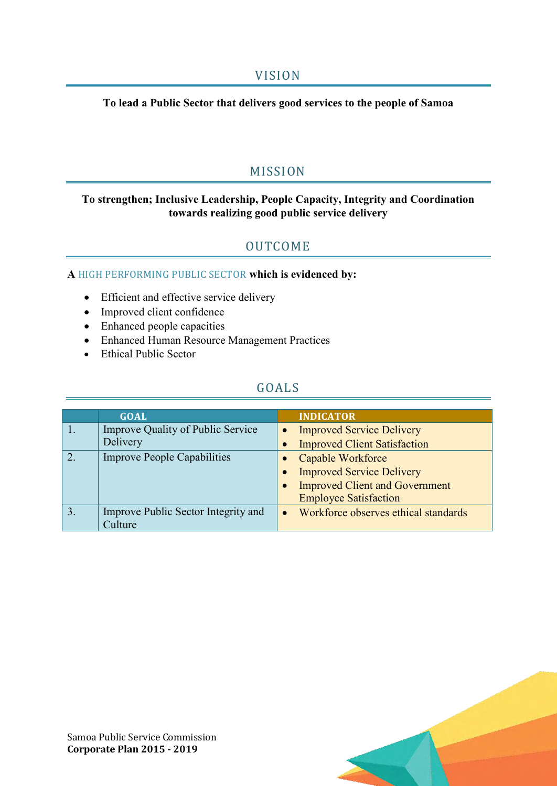#### VISION

**To lead a Public Sector that delivers good services to the people of Samoa** 

## MISSION

#### **To strengthen; Inclusive Leadership, People Capacity, Integrity and Coordination towards realizing good public service delivery**

## OUTCOME

## **A** HIGH PERFORMING PUBLIC SECTOR **which is evidenced by:**

- Efficient and effective service delivery
- Improved client confidence
- Enhanced people capacities
- Enhanced Human Resource Management Practices
- Ethical Public Sector

### GOALS

|                  | <b>GOAL</b>                              | <b>INDICATOR</b>                                  |
|------------------|------------------------------------------|---------------------------------------------------|
|                  | <b>Improve Quality of Public Service</b> | <b>Improved Service Delivery</b>                  |
|                  | Delivery                                 | <b>Improved Client Satisfaction</b>               |
| $\mathcal{D}$    | <b>Improve People Capabilities</b>       | <b>Capable Workforce</b>                          |
|                  |                                          | <b>Improved Service Delivery</b>                  |
|                  |                                          | <b>Improved Client and Government</b>             |
|                  |                                          | <b>Employee Satisfaction</b>                      |
| $\overline{3}$ . | Improve Public Sector Integrity and      | Workforce observes ethical standards<br>$\bullet$ |
|                  | Culture                                  |                                                   |

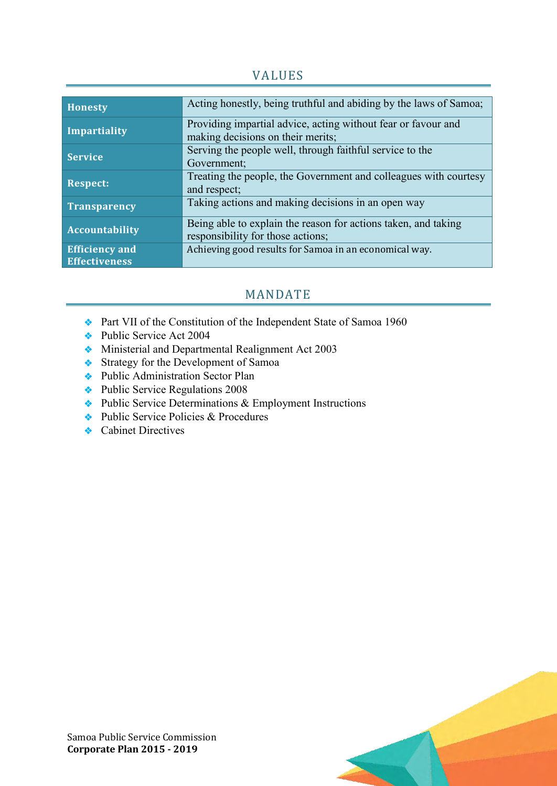#### VALUES

| <b>Honesty</b>                                | Acting honestly, being truthful and abiding by the laws of Samoa;                                   |
|-----------------------------------------------|-----------------------------------------------------------------------------------------------------|
| Impartiality                                  | Providing impartial advice, acting without fear or favour and<br>making decisions on their merits;  |
| <b>Service</b>                                | Serving the people well, through faithful service to the<br>Government;                             |
| <b>Respect:</b>                               | Treating the people, the Government and colleagues with courtesy<br>and respect;                    |
| <b>Transparency</b>                           | Taking actions and making decisions in an open way                                                  |
| <b>Accountability</b>                         | Being able to explain the reason for actions taken, and taking<br>responsibility for those actions; |
| <b>Efficiency and</b><br><b>Effectiveness</b> | Achieving good results for Samoa in an economical way.                                              |

## MANDATE

- Part VII of the Constitution of the Independent State of Samoa 1960
- ◆ Public Service Act 2004
- Ministerial and Departmental Realignment Act 2003
- Strategy for the Development of Samoa
- ◆ Public Administration Sector Plan
- ◆ Public Service Regulations 2008
- Public Service Determinations & Employment Instructions
- ◆ Public Service Policies & Procedures
- **←** Cabinet Directives

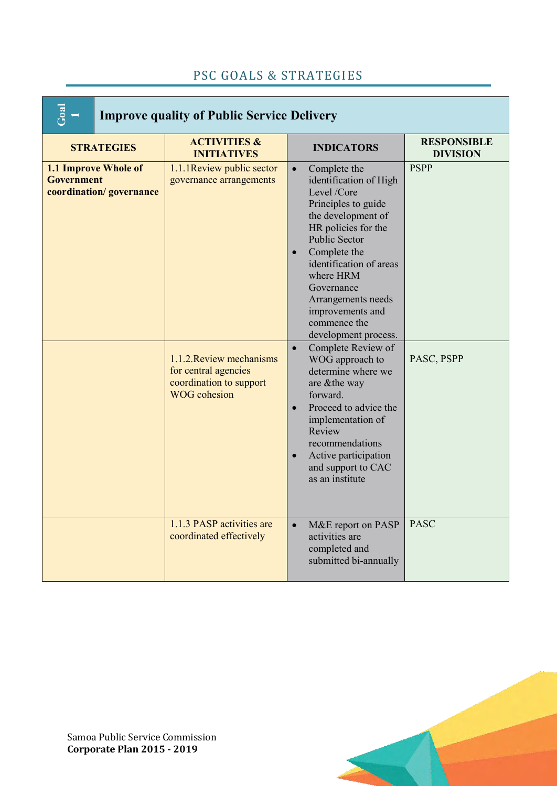# PSC GOALS & STRATEGIES

| Fall              | <b>Improve quality of Public Service Delivery</b> |                                                                                                                                                             |                                                                                                                                                                                                                                                                                                                                                                                                                                                                                                                                                                                                                   |                                       |
|-------------------|---------------------------------------------------|-------------------------------------------------------------------------------------------------------------------------------------------------------------|-------------------------------------------------------------------------------------------------------------------------------------------------------------------------------------------------------------------------------------------------------------------------------------------------------------------------------------------------------------------------------------------------------------------------------------------------------------------------------------------------------------------------------------------------------------------------------------------------------------------|---------------------------------------|
|                   | <b>STRATEGIES</b>                                 | <b>ACTIVITIES &amp;</b><br><b>INITIATIVES</b>                                                                                                               | <b>INDICATORS</b>                                                                                                                                                                                                                                                                                                                                                                                                                                                                                                                                                                                                 | <b>RESPONSIBLE</b><br><b>DIVISION</b> |
| <b>Government</b> | 1.1 Improve Whole of<br>coordination/governance   | 1.1.1 Review public sector<br>governance arrangements<br>1.1.2. Review mechanisms<br>for central agencies<br>coordination to support<br><b>WOG</b> cohesion | Complete the<br>$\bullet$<br>identification of High<br>Level /Core<br>Principles to guide<br>the development of<br>HR policies for the<br><b>Public Sector</b><br>Complete the<br>$\bullet$<br>identification of areas<br>where HRM<br>Governance<br>Arrangements needs<br>improvements and<br>commence the<br>development process.<br>Complete Review of<br>$\bullet$<br>WOG approach to<br>determine where we<br>are &the way<br>forward.<br>Proceed to advice the<br>$\bullet$<br>implementation of<br>Review<br>recommendations<br>Active participation<br>$\bullet$<br>and support to CAC<br>as an institute | <b>PSPP</b><br>PASC, PSPP             |
|                   |                                                   | 1.1.3 PASP activities are<br>coordinated effectively                                                                                                        | M&E report on PASP<br>$\bullet$<br>activities are<br>completed and<br>submitted bi-annually                                                                                                                                                                                                                                                                                                                                                                                                                                                                                                                       | <b>PASC</b>                           |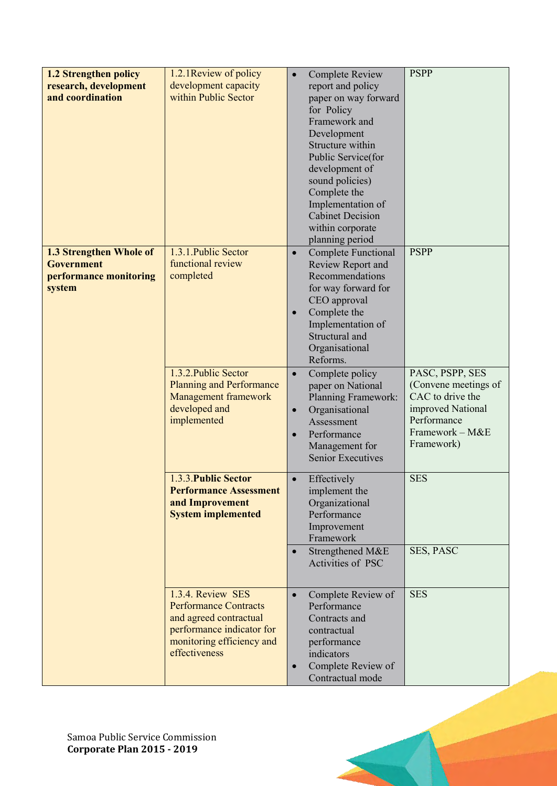| <b>1.2 Strengthen policy</b><br>research, development<br>and coordination        | 1.2.1 Review of policy<br>development capacity<br>within Public Sector                                                                                 | <b>PSPP</b><br><b>Complete Review</b><br>$\bullet$<br>report and policy<br>paper on way forward<br>for Policy<br>Framework and<br>Development<br>Structure within<br>Public Service(for<br>development of<br>sound policies)<br>Complete the<br>Implementation of<br><b>Cabinet Decision</b><br>within corporate<br>planning period |                                                                                                                                  |
|----------------------------------------------------------------------------------|--------------------------------------------------------------------------------------------------------------------------------------------------------|-------------------------------------------------------------------------------------------------------------------------------------------------------------------------------------------------------------------------------------------------------------------------------------------------------------------------------------|----------------------------------------------------------------------------------------------------------------------------------|
| 1.3 Strengthen Whole of<br><b>Government</b><br>performance monitoring<br>system | 1.3.1. Public Sector<br>functional review<br>completed                                                                                                 | <b>PSPP</b><br><b>Complete Functional</b><br>$\bullet$<br>Review Report and<br>Recommendations<br>for way forward for<br>CEO approval<br>Complete the<br>$\bullet$<br>Implementation of<br>Structural and<br>Organisational<br>Reforms.                                                                                             |                                                                                                                                  |
|                                                                                  | 1.3.2. Public Sector<br><b>Planning and Performance</b><br><b>Management framework</b><br>developed and<br>implemented                                 | Complete policy<br>$\bullet$<br>paper on National<br>Planning Framework:<br>Organisational<br>$\bullet$<br>Assessment<br>Performance<br>$\bullet$<br>Management for<br><b>Senior Executives</b>                                                                                                                                     | PASC, PSPP, SES<br>(Convene meetings of<br>CAC to drive the<br>improved National<br>Performance<br>Framework - M&E<br>Framework) |
|                                                                                  | 1.3.3. Public Sector<br><b>Performance Assessment</b><br>and Improvement<br><b>System implemented</b>                                                  | <b>SES</b><br>Effectively<br>$\bullet$<br>implement the<br>Organizational<br>Performance<br>Improvement<br>Framework                                                                                                                                                                                                                |                                                                                                                                  |
|                                                                                  |                                                                                                                                                        | Strengthened M&E<br>$\bullet$<br>Activities of PSC                                                                                                                                                                                                                                                                                  | SES, PASC                                                                                                                        |
|                                                                                  | 1.3.4. Review SES<br><b>Performance Contracts</b><br>and agreed contractual<br>performance indicator for<br>monitoring efficiency and<br>effectiveness | <b>SES</b><br>Complete Review of<br>$\bullet$<br>Performance<br>Contracts and<br>contractual<br>performance<br>indicators<br>Complete Review of<br>$\bullet$<br>Contractual mode                                                                                                                                                    |                                                                                                                                  |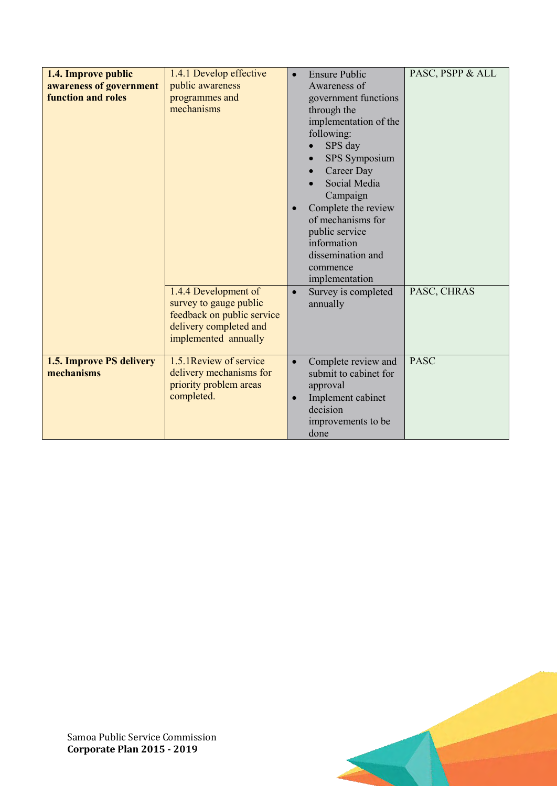| 1.4. Improve public<br>awareness of government<br>function and roles | 1.4.1 Develop effective<br>public awareness<br>programmes and<br>mechanisms                                                    | <b>Ensure Public</b><br>$\bullet$<br>Awareness of<br>government functions<br>through the<br>implementation of the<br>following:<br>SPS day<br>SPS Symposium<br>Career Day<br>Social Media<br>Campaign<br>Complete the review<br>of mechanisms for<br>public service<br>information<br>dissemination and<br>commence |                                                                                                                         | PASC, PSPP & ALL |
|----------------------------------------------------------------------|--------------------------------------------------------------------------------------------------------------------------------|---------------------------------------------------------------------------------------------------------------------------------------------------------------------------------------------------------------------------------------------------------------------------------------------------------------------|-------------------------------------------------------------------------------------------------------------------------|------------------|
|                                                                      | 1.4.4 Development of<br>survey to gauge public<br>feedback on public service<br>delivery completed and<br>implemented annually | $\bullet$                                                                                                                                                                                                                                                                                                           | implementation<br>Survey is completed<br>annually                                                                       | PASC, CHRAS      |
| 1.5. Improve PS delivery<br>mechanisms                               | 1.5.1 Review of service<br>delivery mechanisms for<br>priority problem areas<br>completed.                                     | $\bullet$<br>$\bullet$                                                                                                                                                                                                                                                                                              | Complete review and<br>submit to cabinet for<br>approval<br>Implement cabinet<br>decision<br>improvements to be<br>done | <b>PASC</b>      |

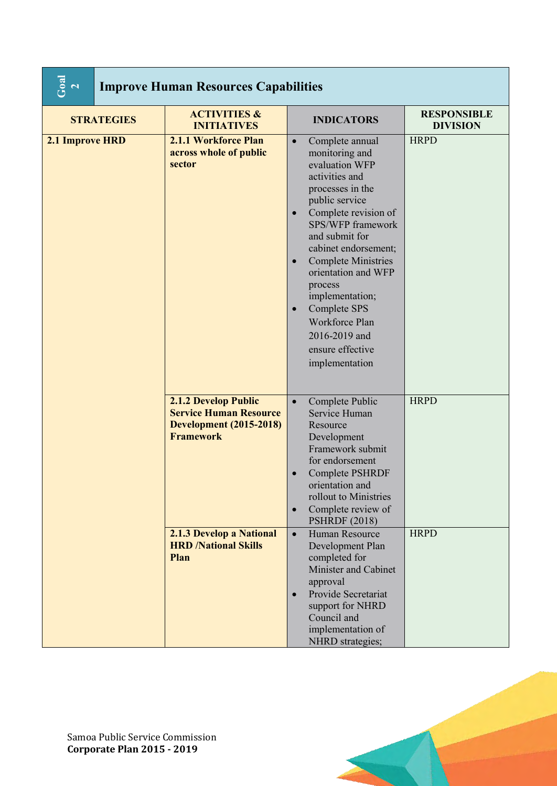**Goal** 

#### **2 Improve Human Resources Capabilities**

| <b>STRATEGIES</b> | <b>ACTIVITIES &amp;</b><br><b>INITIATIVES</b>                                                                      | <b>INDICATORS</b>                                                                                                                                                                                                                                                                                                                                                                                                                         | <b>RESPONSIBLE</b><br><b>DIVISION</b> |
|-------------------|--------------------------------------------------------------------------------------------------------------------|-------------------------------------------------------------------------------------------------------------------------------------------------------------------------------------------------------------------------------------------------------------------------------------------------------------------------------------------------------------------------------------------------------------------------------------------|---------------------------------------|
| 2.1 Improve HRD   | 2.1.1 Workforce Plan<br>across whole of public<br>sector                                                           | Complete annual<br>$\bullet$<br>monitoring and<br>evaluation WFP<br>activities and<br>processes in the<br>public service<br>Complete revision of<br>$\bullet$<br>SPS/WFP framework<br>and submit for<br>cabinet endorsement;<br><b>Complete Ministries</b><br>$\bullet$<br>orientation and WFP<br>process<br>implementation;<br><b>Complete SPS</b><br>$\bullet$<br>Workforce Plan<br>2016-2019 and<br>ensure effective<br>implementation | <b>HRPD</b>                           |
|                   | <b>2.1.2 Develop Public</b><br><b>Service Human Resource</b><br><b>Development (2015-2018)</b><br><b>Framework</b> | Complete Public<br>$\bullet$<br>Service Human<br>Resource<br>Development<br>Framework submit<br>for endorsement<br>Complete PSHRDF<br>$\bullet$<br>orientation and<br>rollout to Ministries<br>Complete review of<br><b>PSHRDF (2018)</b>                                                                                                                                                                                                 | <b>HRPD</b>                           |
|                   | 2.1.3 Develop a National<br><b>HRD /National Skills</b><br>Plan                                                    | Human Resource<br>$\bullet$<br>Development Plan<br>completed for<br>Minister and Cabinet<br>approval<br>Provide Secretariat<br>$\bullet$<br>support for NHRD<br>Council and<br>implementation of<br>NHRD strategies;                                                                                                                                                                                                                      | <b>HRPD</b>                           |

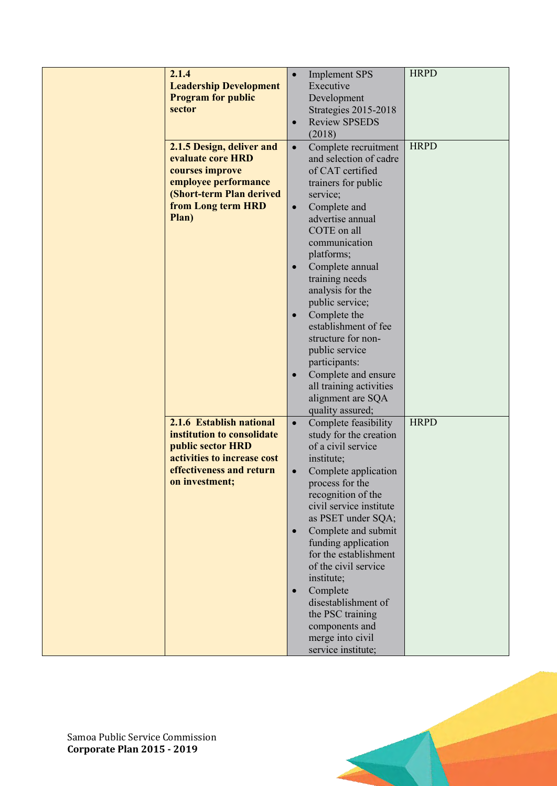| $\bullet$<br><b>Leadership Development</b><br>Executive<br><b>Program for public</b><br>Development<br>Strategies 2015-2018<br>sector<br><b>Review SPSEDS</b><br>$\bullet$<br>(2018)<br><b>HRPD</b><br>2.1.5 Design, deliver and<br>Complete recruitment<br>$\bullet$<br>evaluate core HRD<br>and selection of cadre<br>courses improve<br>of CAT certified<br>employee performance<br>trainers for public<br>(Short-term Plan derived<br>service;<br>from Long term HRD<br>Complete and<br>$\bullet$<br>Plan)<br>advertise annual<br>COTE on all<br>communication<br>platforms;<br>Complete annual<br>$\bullet$<br>training needs<br>analysis for the<br>public service;<br>Complete the<br>$\bullet$<br>establishment of fee<br>structure for non-<br>public service<br>participants:<br>Complete and ensure<br>$\bullet$<br>all training activities<br>alignment are SQA<br>quality assured;<br>2.1.6 Establish national<br><b>HRPD</b><br>Complete feasibility<br>$\bullet$<br>institution to consolidate<br>study for the creation<br>public sector HRD<br>of a civil service<br>activities to increase cost<br>institute;<br>effectiveness and return<br>Complete application<br>$\bullet$<br>on investment;<br>process for the<br>recognition of the<br>civil service institute<br>as PSET under SQA;<br>Complete and submit<br>funding application<br>for the establishment<br>of the civil service<br>institute;<br>Complete<br>disestablishment of<br>the PSC training<br>components and<br>merge into civil |       |                      |             |
|------------------------------------------------------------------------------------------------------------------------------------------------------------------------------------------------------------------------------------------------------------------------------------------------------------------------------------------------------------------------------------------------------------------------------------------------------------------------------------------------------------------------------------------------------------------------------------------------------------------------------------------------------------------------------------------------------------------------------------------------------------------------------------------------------------------------------------------------------------------------------------------------------------------------------------------------------------------------------------------------------------------------------------------------------------------------------------------------------------------------------------------------------------------------------------------------------------------------------------------------------------------------------------------------------------------------------------------------------------------------------------------------------------------------------------------------------------------------------------------------------------------------|-------|----------------------|-------------|
|                                                                                                                                                                                                                                                                                                                                                                                                                                                                                                                                                                                                                                                                                                                                                                                                                                                                                                                                                                                                                                                                                                                                                                                                                                                                                                                                                                                                                                                                                                                        | 2.1.4 | <b>Implement SPS</b> | <b>HRPD</b> |
|                                                                                                                                                                                                                                                                                                                                                                                                                                                                                                                                                                                                                                                                                                                                                                                                                                                                                                                                                                                                                                                                                                                                                                                                                                                                                                                                                                                                                                                                                                                        |       |                      |             |
|                                                                                                                                                                                                                                                                                                                                                                                                                                                                                                                                                                                                                                                                                                                                                                                                                                                                                                                                                                                                                                                                                                                                                                                                                                                                                                                                                                                                                                                                                                                        |       |                      |             |
|                                                                                                                                                                                                                                                                                                                                                                                                                                                                                                                                                                                                                                                                                                                                                                                                                                                                                                                                                                                                                                                                                                                                                                                                                                                                                                                                                                                                                                                                                                                        |       |                      |             |
|                                                                                                                                                                                                                                                                                                                                                                                                                                                                                                                                                                                                                                                                                                                                                                                                                                                                                                                                                                                                                                                                                                                                                                                                                                                                                                                                                                                                                                                                                                                        |       |                      |             |
|                                                                                                                                                                                                                                                                                                                                                                                                                                                                                                                                                                                                                                                                                                                                                                                                                                                                                                                                                                                                                                                                                                                                                                                                                                                                                                                                                                                                                                                                                                                        |       |                      |             |
|                                                                                                                                                                                                                                                                                                                                                                                                                                                                                                                                                                                                                                                                                                                                                                                                                                                                                                                                                                                                                                                                                                                                                                                                                                                                                                                                                                                                                                                                                                                        |       |                      |             |
|                                                                                                                                                                                                                                                                                                                                                                                                                                                                                                                                                                                                                                                                                                                                                                                                                                                                                                                                                                                                                                                                                                                                                                                                                                                                                                                                                                                                                                                                                                                        |       |                      |             |
|                                                                                                                                                                                                                                                                                                                                                                                                                                                                                                                                                                                                                                                                                                                                                                                                                                                                                                                                                                                                                                                                                                                                                                                                                                                                                                                                                                                                                                                                                                                        |       |                      |             |
|                                                                                                                                                                                                                                                                                                                                                                                                                                                                                                                                                                                                                                                                                                                                                                                                                                                                                                                                                                                                                                                                                                                                                                                                                                                                                                                                                                                                                                                                                                                        |       |                      |             |
|                                                                                                                                                                                                                                                                                                                                                                                                                                                                                                                                                                                                                                                                                                                                                                                                                                                                                                                                                                                                                                                                                                                                                                                                                                                                                                                                                                                                                                                                                                                        |       |                      |             |
|                                                                                                                                                                                                                                                                                                                                                                                                                                                                                                                                                                                                                                                                                                                                                                                                                                                                                                                                                                                                                                                                                                                                                                                                                                                                                                                                                                                                                                                                                                                        |       |                      |             |
|                                                                                                                                                                                                                                                                                                                                                                                                                                                                                                                                                                                                                                                                                                                                                                                                                                                                                                                                                                                                                                                                                                                                                                                                                                                                                                                                                                                                                                                                                                                        |       |                      |             |
|                                                                                                                                                                                                                                                                                                                                                                                                                                                                                                                                                                                                                                                                                                                                                                                                                                                                                                                                                                                                                                                                                                                                                                                                                                                                                                                                                                                                                                                                                                                        |       |                      |             |
|                                                                                                                                                                                                                                                                                                                                                                                                                                                                                                                                                                                                                                                                                                                                                                                                                                                                                                                                                                                                                                                                                                                                                                                                                                                                                                                                                                                                                                                                                                                        |       |                      |             |
|                                                                                                                                                                                                                                                                                                                                                                                                                                                                                                                                                                                                                                                                                                                                                                                                                                                                                                                                                                                                                                                                                                                                                                                                                                                                                                                                                                                                                                                                                                                        |       |                      |             |
|                                                                                                                                                                                                                                                                                                                                                                                                                                                                                                                                                                                                                                                                                                                                                                                                                                                                                                                                                                                                                                                                                                                                                                                                                                                                                                                                                                                                                                                                                                                        |       |                      |             |
|                                                                                                                                                                                                                                                                                                                                                                                                                                                                                                                                                                                                                                                                                                                                                                                                                                                                                                                                                                                                                                                                                                                                                                                                                                                                                                                                                                                                                                                                                                                        |       |                      |             |
|                                                                                                                                                                                                                                                                                                                                                                                                                                                                                                                                                                                                                                                                                                                                                                                                                                                                                                                                                                                                                                                                                                                                                                                                                                                                                                                                                                                                                                                                                                                        |       |                      |             |
|                                                                                                                                                                                                                                                                                                                                                                                                                                                                                                                                                                                                                                                                                                                                                                                                                                                                                                                                                                                                                                                                                                                                                                                                                                                                                                                                                                                                                                                                                                                        |       |                      |             |
|                                                                                                                                                                                                                                                                                                                                                                                                                                                                                                                                                                                                                                                                                                                                                                                                                                                                                                                                                                                                                                                                                                                                                                                                                                                                                                                                                                                                                                                                                                                        |       |                      |             |
|                                                                                                                                                                                                                                                                                                                                                                                                                                                                                                                                                                                                                                                                                                                                                                                                                                                                                                                                                                                                                                                                                                                                                                                                                                                                                                                                                                                                                                                                                                                        |       |                      |             |
|                                                                                                                                                                                                                                                                                                                                                                                                                                                                                                                                                                                                                                                                                                                                                                                                                                                                                                                                                                                                                                                                                                                                                                                                                                                                                                                                                                                                                                                                                                                        |       |                      |             |
|                                                                                                                                                                                                                                                                                                                                                                                                                                                                                                                                                                                                                                                                                                                                                                                                                                                                                                                                                                                                                                                                                                                                                                                                                                                                                                                                                                                                                                                                                                                        |       |                      |             |
|                                                                                                                                                                                                                                                                                                                                                                                                                                                                                                                                                                                                                                                                                                                                                                                                                                                                                                                                                                                                                                                                                                                                                                                                                                                                                                                                                                                                                                                                                                                        |       |                      |             |
|                                                                                                                                                                                                                                                                                                                                                                                                                                                                                                                                                                                                                                                                                                                                                                                                                                                                                                                                                                                                                                                                                                                                                                                                                                                                                                                                                                                                                                                                                                                        |       |                      |             |
|                                                                                                                                                                                                                                                                                                                                                                                                                                                                                                                                                                                                                                                                                                                                                                                                                                                                                                                                                                                                                                                                                                                                                                                                                                                                                                                                                                                                                                                                                                                        |       |                      |             |
|                                                                                                                                                                                                                                                                                                                                                                                                                                                                                                                                                                                                                                                                                                                                                                                                                                                                                                                                                                                                                                                                                                                                                                                                                                                                                                                                                                                                                                                                                                                        |       |                      |             |
|                                                                                                                                                                                                                                                                                                                                                                                                                                                                                                                                                                                                                                                                                                                                                                                                                                                                                                                                                                                                                                                                                                                                                                                                                                                                                                                                                                                                                                                                                                                        |       |                      |             |
|                                                                                                                                                                                                                                                                                                                                                                                                                                                                                                                                                                                                                                                                                                                                                                                                                                                                                                                                                                                                                                                                                                                                                                                                                                                                                                                                                                                                                                                                                                                        |       |                      |             |
|                                                                                                                                                                                                                                                                                                                                                                                                                                                                                                                                                                                                                                                                                                                                                                                                                                                                                                                                                                                                                                                                                                                                                                                                                                                                                                                                                                                                                                                                                                                        |       |                      |             |
|                                                                                                                                                                                                                                                                                                                                                                                                                                                                                                                                                                                                                                                                                                                                                                                                                                                                                                                                                                                                                                                                                                                                                                                                                                                                                                                                                                                                                                                                                                                        |       |                      |             |
|                                                                                                                                                                                                                                                                                                                                                                                                                                                                                                                                                                                                                                                                                                                                                                                                                                                                                                                                                                                                                                                                                                                                                                                                                                                                                                                                                                                                                                                                                                                        |       |                      |             |
|                                                                                                                                                                                                                                                                                                                                                                                                                                                                                                                                                                                                                                                                                                                                                                                                                                                                                                                                                                                                                                                                                                                                                                                                                                                                                                                                                                                                                                                                                                                        |       |                      |             |
|                                                                                                                                                                                                                                                                                                                                                                                                                                                                                                                                                                                                                                                                                                                                                                                                                                                                                                                                                                                                                                                                                                                                                                                                                                                                                                                                                                                                                                                                                                                        |       |                      |             |
|                                                                                                                                                                                                                                                                                                                                                                                                                                                                                                                                                                                                                                                                                                                                                                                                                                                                                                                                                                                                                                                                                                                                                                                                                                                                                                                                                                                                                                                                                                                        |       |                      |             |
|                                                                                                                                                                                                                                                                                                                                                                                                                                                                                                                                                                                                                                                                                                                                                                                                                                                                                                                                                                                                                                                                                                                                                                                                                                                                                                                                                                                                                                                                                                                        |       |                      |             |
|                                                                                                                                                                                                                                                                                                                                                                                                                                                                                                                                                                                                                                                                                                                                                                                                                                                                                                                                                                                                                                                                                                                                                                                                                                                                                                                                                                                                                                                                                                                        |       |                      |             |
|                                                                                                                                                                                                                                                                                                                                                                                                                                                                                                                                                                                                                                                                                                                                                                                                                                                                                                                                                                                                                                                                                                                                                                                                                                                                                                                                                                                                                                                                                                                        |       |                      |             |
|                                                                                                                                                                                                                                                                                                                                                                                                                                                                                                                                                                                                                                                                                                                                                                                                                                                                                                                                                                                                                                                                                                                                                                                                                                                                                                                                                                                                                                                                                                                        |       |                      |             |
|                                                                                                                                                                                                                                                                                                                                                                                                                                                                                                                                                                                                                                                                                                                                                                                                                                                                                                                                                                                                                                                                                                                                                                                                                                                                                                                                                                                                                                                                                                                        |       |                      |             |
|                                                                                                                                                                                                                                                                                                                                                                                                                                                                                                                                                                                                                                                                                                                                                                                                                                                                                                                                                                                                                                                                                                                                                                                                                                                                                                                                                                                                                                                                                                                        |       |                      |             |
|                                                                                                                                                                                                                                                                                                                                                                                                                                                                                                                                                                                                                                                                                                                                                                                                                                                                                                                                                                                                                                                                                                                                                                                                                                                                                                                                                                                                                                                                                                                        |       |                      |             |
|                                                                                                                                                                                                                                                                                                                                                                                                                                                                                                                                                                                                                                                                                                                                                                                                                                                                                                                                                                                                                                                                                                                                                                                                                                                                                                                                                                                                                                                                                                                        |       |                      |             |
|                                                                                                                                                                                                                                                                                                                                                                                                                                                                                                                                                                                                                                                                                                                                                                                                                                                                                                                                                                                                                                                                                                                                                                                                                                                                                                                                                                                                                                                                                                                        |       |                      |             |
|                                                                                                                                                                                                                                                                                                                                                                                                                                                                                                                                                                                                                                                                                                                                                                                                                                                                                                                                                                                                                                                                                                                                                                                                                                                                                                                                                                                                                                                                                                                        |       |                      |             |
|                                                                                                                                                                                                                                                                                                                                                                                                                                                                                                                                                                                                                                                                                                                                                                                                                                                                                                                                                                                                                                                                                                                                                                                                                                                                                                                                                                                                                                                                                                                        |       |                      |             |
|                                                                                                                                                                                                                                                                                                                                                                                                                                                                                                                                                                                                                                                                                                                                                                                                                                                                                                                                                                                                                                                                                                                                                                                                                                                                                                                                                                                                                                                                                                                        |       |                      |             |
|                                                                                                                                                                                                                                                                                                                                                                                                                                                                                                                                                                                                                                                                                                                                                                                                                                                                                                                                                                                                                                                                                                                                                                                                                                                                                                                                                                                                                                                                                                                        |       |                      |             |
|                                                                                                                                                                                                                                                                                                                                                                                                                                                                                                                                                                                                                                                                                                                                                                                                                                                                                                                                                                                                                                                                                                                                                                                                                                                                                                                                                                                                                                                                                                                        |       |                      |             |
|                                                                                                                                                                                                                                                                                                                                                                                                                                                                                                                                                                                                                                                                                                                                                                                                                                                                                                                                                                                                                                                                                                                                                                                                                                                                                                                                                                                                                                                                                                                        |       |                      |             |
|                                                                                                                                                                                                                                                                                                                                                                                                                                                                                                                                                                                                                                                                                                                                                                                                                                                                                                                                                                                                                                                                                                                                                                                                                                                                                                                                                                                                                                                                                                                        |       |                      |             |
|                                                                                                                                                                                                                                                                                                                                                                                                                                                                                                                                                                                                                                                                                                                                                                                                                                                                                                                                                                                                                                                                                                                                                                                                                                                                                                                                                                                                                                                                                                                        |       |                      |             |
|                                                                                                                                                                                                                                                                                                                                                                                                                                                                                                                                                                                                                                                                                                                                                                                                                                                                                                                                                                                                                                                                                                                                                                                                                                                                                                                                                                                                                                                                                                                        |       |                      |             |
|                                                                                                                                                                                                                                                                                                                                                                                                                                                                                                                                                                                                                                                                                                                                                                                                                                                                                                                                                                                                                                                                                                                                                                                                                                                                                                                                                                                                                                                                                                                        |       |                      |             |
|                                                                                                                                                                                                                                                                                                                                                                                                                                                                                                                                                                                                                                                                                                                                                                                                                                                                                                                                                                                                                                                                                                                                                                                                                                                                                                                                                                                                                                                                                                                        |       |                      |             |
|                                                                                                                                                                                                                                                                                                                                                                                                                                                                                                                                                                                                                                                                                                                                                                                                                                                                                                                                                                                                                                                                                                                                                                                                                                                                                                                                                                                                                                                                                                                        |       |                      |             |
|                                                                                                                                                                                                                                                                                                                                                                                                                                                                                                                                                                                                                                                                                                                                                                                                                                                                                                                                                                                                                                                                                                                                                                                                                                                                                                                                                                                                                                                                                                                        |       |                      |             |
|                                                                                                                                                                                                                                                                                                                                                                                                                                                                                                                                                                                                                                                                                                                                                                                                                                                                                                                                                                                                                                                                                                                                                                                                                                                                                                                                                                                                                                                                                                                        |       | service institute;   |             |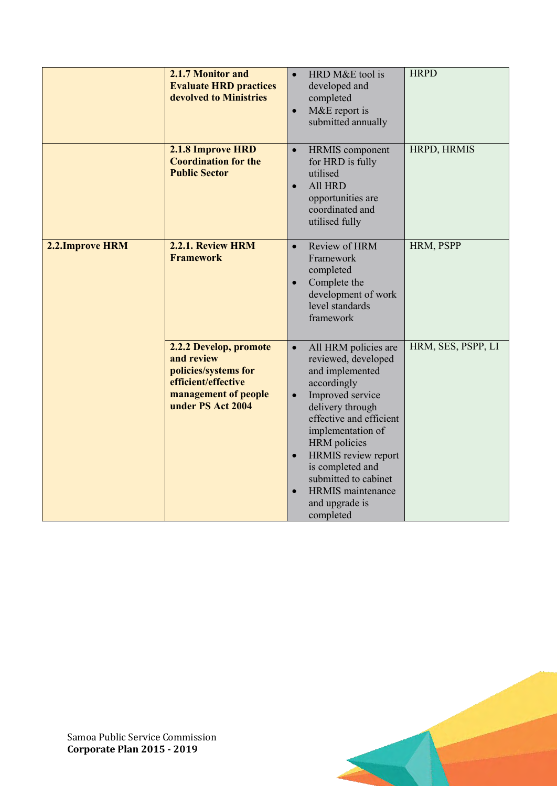|                  | 2.1.7 Monitor and<br><b>Evaluate HRD practices</b><br>devolved to Ministries                                                     | HRD M&E tool is<br>$\bullet$<br>developed and<br>completed<br>M&E report is<br>$\bullet$<br>submitted annually                                                                                                                                                                                                                                                                        | <b>HRPD</b>        |
|------------------|----------------------------------------------------------------------------------------------------------------------------------|---------------------------------------------------------------------------------------------------------------------------------------------------------------------------------------------------------------------------------------------------------------------------------------------------------------------------------------------------------------------------------------|--------------------|
|                  | 2.1.8 Improve HRD<br><b>Coordination for the</b><br><b>Public Sector</b>                                                         | <b>HRMIS</b> component<br>$\bullet$<br>for HRD is fully<br>utilised<br>All HRD<br>$\bullet$<br>opportunities are<br>coordinated and<br>utilised fully                                                                                                                                                                                                                                 | HRPD, HRMIS        |
| 2.2. Improve HRM | 2.2.1. Review HRM<br><b>Framework</b>                                                                                            | Review of HRM<br>$\bullet$<br>Framework<br>completed<br>Complete the<br>$\bullet$<br>development of work<br>level standards<br>framework                                                                                                                                                                                                                                              | HRM, PSPP          |
|                  | 2.2.2 Develop, promote<br>and review<br>policies/systems for<br>efficient/effective<br>management of people<br>under PS Act 2004 | All HRM policies are<br>$\bullet$<br>reviewed, developed<br>and implemented<br>accordingly<br>Improved service<br>$\bullet$<br>delivery through<br>effective and efficient<br>implementation of<br><b>HRM</b> policies<br><b>HRMIS</b> review report<br>$\bullet$<br>is completed and<br>submitted to cabinet<br><b>HRMIS</b> maintenance<br>$\bullet$<br>and upgrade is<br>completed | HRM, SES, PSPP, LI |

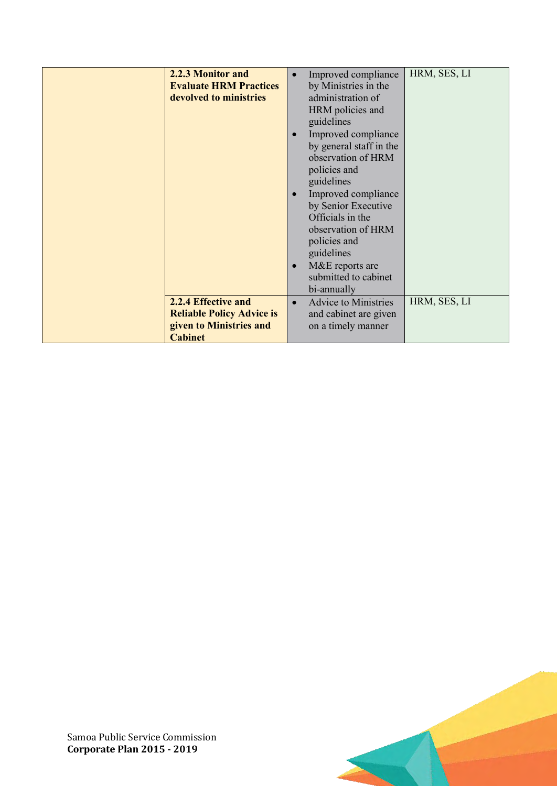| 2.2.3 Monitor and                | $\bullet$                    | Improved compliance         | HRM, SES, LI |
|----------------------------------|------------------------------|-----------------------------|--------------|
| <b>Evaluate HRM Practices</b>    |                              | by Ministries in the        |              |
| devolved to ministries           | administration of            |                             |              |
|                                  | HRM policies and             |                             |              |
|                                  | guidelines                   |                             |              |
|                                  | $\bullet$                    | Improved compliance         |              |
|                                  |                              | by general staff in the     |              |
|                                  |                              | observation of HRM          |              |
|                                  | policies and                 |                             |              |
|                                  | guidelines                   |                             |              |
|                                  | $\bullet$                    | Improved compliance         |              |
|                                  |                              | by Senior Executive         |              |
|                                  | Officials in the             |                             |              |
|                                  |                              | observation of HRM          |              |
|                                  | policies and                 |                             |              |
|                                  | guidelines                   |                             |              |
|                                  |                              |                             |              |
|                                  | M&E reports are<br>$\bullet$ |                             |              |
|                                  |                              | submitted to cabinet        |              |
|                                  | bi-annually                  |                             |              |
| 2.2.4 Effective and              | $\bullet$                    | <b>Advice to Ministries</b> | HRM, SES, LI |
| <b>Reliable Policy Advice is</b> |                              | and cabinet are given       |              |
| given to Ministries and          |                              | on a timely manner          |              |
| <b>Cabinet</b>                   |                              |                             |              |

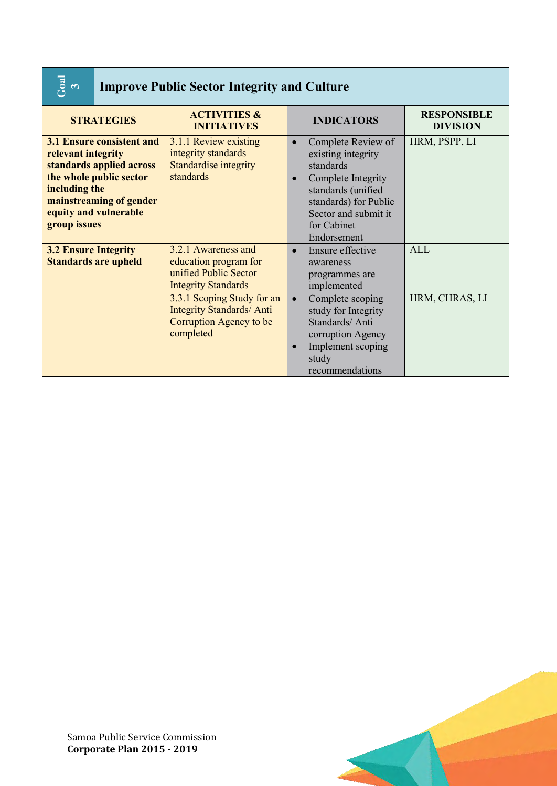# **Improve Public Sector Integrity and Culture**

| <b>STRATEGIES</b>                                                                                                                                                                                  | <b>ACTIVITIES &amp;</b><br><b>INITIATIVES</b>                                                       | <b>INDICATORS</b>                                                                                                                                                                                          | <b>RESPONSIBLE</b><br><b>DIVISION</b> |
|----------------------------------------------------------------------------------------------------------------------------------------------------------------------------------------------------|-----------------------------------------------------------------------------------------------------|------------------------------------------------------------------------------------------------------------------------------------------------------------------------------------------------------------|---------------------------------------|
| <b>3.1 Ensure consistent and</b><br>relevant integrity<br>standards applied across<br>the whole public sector<br>including the<br>mainstreaming of gender<br>equity and vulnerable<br>group issues | 3.1.1 Review existing<br>integrity standards<br><b>Standardise integrity</b><br>standards           | Complete Review of<br>$\bullet$<br>existing integrity<br>standards<br>Complete Integrity<br>$\bullet$<br>standards (unified<br>standards) for Public<br>Sector and submit it<br>for Cabinet<br>Endorsement | HRM, PSPP, LI                         |
| <b>3.2 Ensure Integrity</b><br><b>Standards are upheld</b>                                                                                                                                         | 3.2.1 Awareness and<br>education program for<br>unified Public Sector<br><b>Integrity Standards</b> | Ensure effective<br>$\bullet$<br>awareness<br>programmes are<br>implemented                                                                                                                                | <b>ALL</b>                            |
|                                                                                                                                                                                                    | 3.3.1 Scoping Study for an<br>Integrity Standards/ Anti<br>Corruption Agency to be<br>completed     | Complete scoping<br>$\bullet$<br>study for Integrity<br>Standards/ Anti<br>corruption Agency<br>Implement scoping<br>$\bullet$<br>study<br>recommendations                                                 | HRM, CHRAS, LI                        |

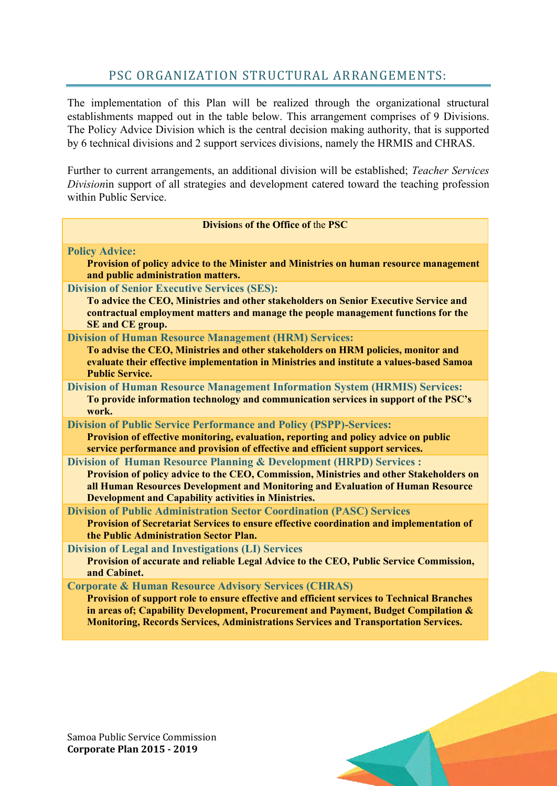# PSC ORGANIZATION STRUCTURAL ARRANGEMENTS:

The implementation of this Plan will be realized through the organizational structural establishments mapped out in the table below. This arrangement comprises of 9 Divisions. The Policy Advice Division which is the central decision making authority, that is supported by 6 technical divisions and 2 support services divisions, namely the HRMIS and CHRAS.

Further to current arrangements, an additional division will be established; *Teacher Services Division*in support of all strategies and development catered toward the teaching profession within Public Service.

#### **Division**s **of the Office of** the **PSC**

| <b>Policy Advice:</b><br>Provision of policy advice to the Minister and Ministries on human resource management<br>and public administration matters.                                                                                                                                                            |
|------------------------------------------------------------------------------------------------------------------------------------------------------------------------------------------------------------------------------------------------------------------------------------------------------------------|
| <b>Division of Senior Executive Services (SES):</b><br>To advice the CEO, Ministries and other stakeholders on Senior Executive Service and<br>contractual employment matters and manage the people management functions for the<br><b>SE and CE group.</b>                                                      |
| <b>Division of Human Resource Management (HRM) Services:</b><br>To advise the CEO, Ministries and other stakeholders on HRM policies, monitor and<br>evaluate their effective implementation in Ministries and institute a values-based Samoa<br><b>Public Service.</b>                                          |
| <b>Division of Human Resource Management Information System (HRMIS) Services:</b><br>To provide information technology and communication services in support of the PSC's<br>work.                                                                                                                               |
| <b>Division of Public Service Performance and Policy (PSPP)-Services:</b><br>Provision of effective monitoring, evaluation, reporting and policy advice on public<br>service performance and provision of effective and efficient support services.                                                              |
| Division of Human Resource Planning & Development (HRPD) Services :<br>Provision of policy advice to the CEO, Commission, Ministries and other Stakeholders on<br>all Human Resources Development and Monitoring and Evaluation of Human Resource<br><b>Development and Capability activities in Ministries.</b> |
| <b>Division of Public Administration Sector Coordination (PASC) Services</b><br>Provision of Secretariat Services to ensure effective coordination and implementation of<br>the Public Administration Sector Plan.                                                                                               |
| <b>Division of Legal and Investigations (LI) Services</b><br>Provision of accurate and reliable Legal Advice to the CEO, Public Service Commission,<br>and Cabinet.                                                                                                                                              |
| <b>Corporate &amp; Human Resource Advisory Services (CHRAS)</b><br>Provision of support role to ensure effective and efficient services to Technical Branches<br>in areas of; Capability Development, Procurement and Payment, Budget Compilation &                                                              |

**Monitoring, Records Services, Administrations Services and Transportation Services.**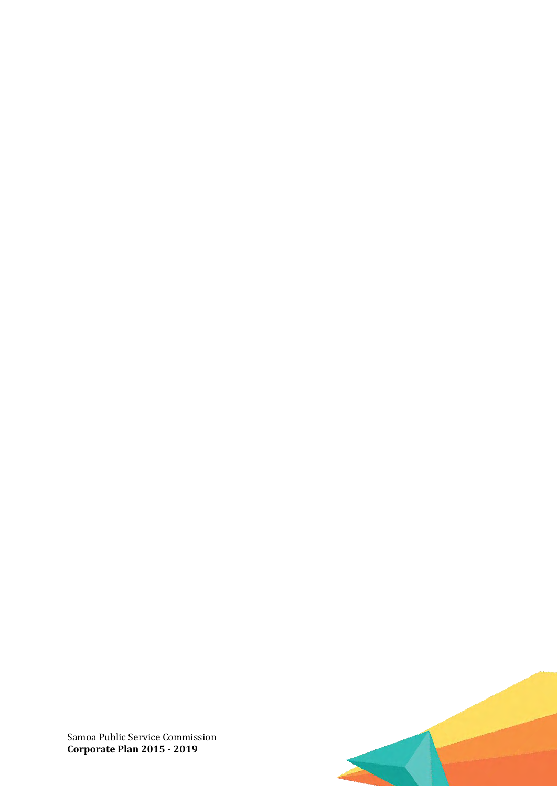

Samoa Public Service Commission **Corporate Plan 2015 - 2019**